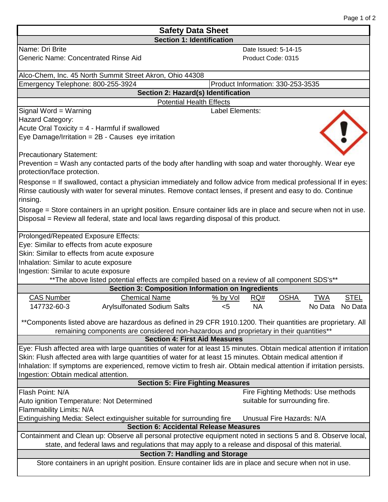| <b>Safety Data Sheet</b>                                                                                                                                                                                            |                                                                    |  |  |  |
|---------------------------------------------------------------------------------------------------------------------------------------------------------------------------------------------------------------------|--------------------------------------------------------------------|--|--|--|
| <b>Section 1: Identification</b>                                                                                                                                                                                    |                                                                    |  |  |  |
| Name: Dri Brite                                                                                                                                                                                                     | Date Issued: 5-14-15                                               |  |  |  |
| <b>Generic Name: Concentrated Rinse Aid</b>                                                                                                                                                                         | Product Code: 0315                                                 |  |  |  |
| Alco-Chem, Inc. 45 North Summit Street Akron, Ohio 44308                                                                                                                                                            |                                                                    |  |  |  |
| Emergency Telephone: 800-255-3924                                                                                                                                                                                   | Product Information: 330-253-3535                                  |  |  |  |
| Section 2: Hazard(s) Identification                                                                                                                                                                                 |                                                                    |  |  |  |
| <b>Potential Health Effects</b>                                                                                                                                                                                     |                                                                    |  |  |  |
| Signal Word = Warning                                                                                                                                                                                               | Label Elements:                                                    |  |  |  |
| <b>Hazard Category:</b>                                                                                                                                                                                             |                                                                    |  |  |  |
| Acute Oral Toxicity = $4$ - Harmful if swallowed                                                                                                                                                                    |                                                                    |  |  |  |
| Eye Damage/Irritation = 2B - Causes eye irritation                                                                                                                                                                  |                                                                    |  |  |  |
| <b>Precautionary Statement:</b>                                                                                                                                                                                     |                                                                    |  |  |  |
| Prevention = Wash any contacted parts of the body after handling with soap and water thoroughly. Wear eye                                                                                                           |                                                                    |  |  |  |
| protection/face protection.                                                                                                                                                                                         |                                                                    |  |  |  |
| Response = If swallowed, contact a physician immediately and follow advice from medical professional If in eyes:                                                                                                    |                                                                    |  |  |  |
| Rinse cautiously with water for several minutes. Remove contact lenses, if present and easy to do. Continue<br>rinsing.                                                                                             |                                                                    |  |  |  |
| Storage = Store containers in an upright position. Ensure container lids are in place and secure when not in use.                                                                                                   |                                                                    |  |  |  |
| Disposal = Review all federal, state and local laws regarding disposal of this product.                                                                                                                             |                                                                    |  |  |  |
|                                                                                                                                                                                                                     |                                                                    |  |  |  |
| Prolonged/Repeated Exposure Effects:                                                                                                                                                                                |                                                                    |  |  |  |
| Eye: Similar to effects from acute exposure                                                                                                                                                                         |                                                                    |  |  |  |
| Skin: Similar to effects from acute exposure                                                                                                                                                                        |                                                                    |  |  |  |
| Inhalation: Similar to acute exposure                                                                                                                                                                               |                                                                    |  |  |  |
| Ingestion: Similar to acute exposure                                                                                                                                                                                |                                                                    |  |  |  |
| **The above listed potential effects are compiled based on a review of all component SDS's**                                                                                                                        |                                                                    |  |  |  |
| <b>Section 3: Composition Information on Ingredients</b>                                                                                                                                                            |                                                                    |  |  |  |
| <b>Chemical Name</b><br><b>CAS Number</b>                                                                                                                                                                           | <b>OSHA</b><br><b>TWA</b><br><u>% by Vol</u><br>RQ#<br><b>STEL</b> |  |  |  |
| 147732-60-3<br><b>Arylsulfonated Sodium Salts</b>                                                                                                                                                                   | <b>NA</b><br>$<$ 5<br>No Data No Data                              |  |  |  |
| **Components listed above are hazardous as defined in 29 CFR 1910.1200. Their quantities are proprietary. All                                                                                                       |                                                                    |  |  |  |
| remaining components are considered non-hazardous and proprietary in their quantities**<br><b>Section 4: First Aid Measures</b>                                                                                     |                                                                    |  |  |  |
| Eye: Flush affected area with large quantities of water for at least 15 minutes. Obtain medical attention if irritation                                                                                             |                                                                    |  |  |  |
| Skin: Flush affected area with large quantities of water for at least 15 minutes. Obtain medical attention if                                                                                                       |                                                                    |  |  |  |
| Inhalation: If symptoms are experienced, remove victim to fresh air. Obtain medical attention if irritation persists.                                                                                               |                                                                    |  |  |  |
| Ingestion: Obtain medical attention.                                                                                                                                                                                |                                                                    |  |  |  |
| <b>Section 5: Fire Fighting Measures</b>                                                                                                                                                                            |                                                                    |  |  |  |
| Flash Point: N/A                                                                                                                                                                                                    | Fire Fighting Methods: Use methods                                 |  |  |  |
| Auto ignition Temperature: Not Determined                                                                                                                                                                           | suitable for surrounding fire.                                     |  |  |  |
| Flammability Limits: N/A                                                                                                                                                                                            |                                                                    |  |  |  |
| Extinguishing Media: Select extinguisher suitable for surrounding fire                                                                                                                                              | Unusual Fire Hazards: N/A                                          |  |  |  |
| <b>Section 6: Accidental Release Measures</b>                                                                                                                                                                       |                                                                    |  |  |  |
| Containment and Clean up: Observe all personal protective equipment noted in sections 5 and 8. Observe local,<br>state, and federal laws and regulations that may apply to a release and disposal of this material. |                                                                    |  |  |  |
| <b>Section 7: Handling and Storage</b>                                                                                                                                                                              |                                                                    |  |  |  |
| Store containers in an upright position. Ensure container lids are in place and secure when not in use.                                                                                                             |                                                                    |  |  |  |
|                                                                                                                                                                                                                     |                                                                    |  |  |  |